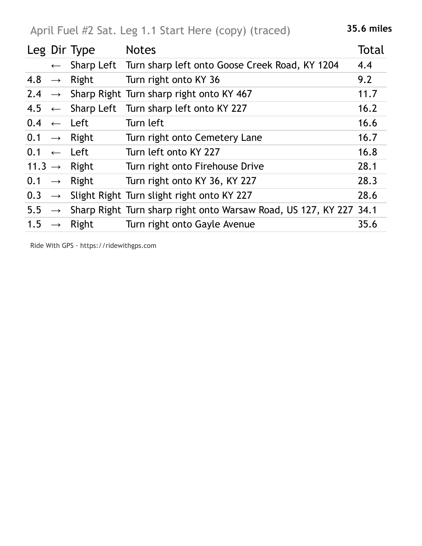April Fuel #2 Sat. Leg 1.1 Start Here (copy) (traced) 35.6 miles

|                   |              | Leg Dir Type             | <b>Notes</b>                                                                         | Total |
|-------------------|--------------|--------------------------|--------------------------------------------------------------------------------------|-------|
|                   | $\leftarrow$ |                          | Sharp Left Turn sharp left onto Goose Creek Road, KY 1204                            | 4.4   |
|                   |              | 4.8 $\rightarrow$ Right  | Turn right onto KY 36                                                                | 9.2   |
|                   |              |                          | 2.4 $\rightarrow$ Sharp Right Turn sharp right onto KY 467                           | 11.7  |
|                   |              |                          | 4.5 $\leftarrow$ Sharp Left Turn sharp left onto KY 227                              | 16.2  |
|                   |              | $0.4 \leftarrow$ Left    | Turn left                                                                            | 16.6  |
|                   |              | $0.1 \rightarrow$ Right  | Turn right onto Cemetery Lane                                                        | 16.7  |
|                   |              | $0.1 \leftarrow$ Left    | Turn left onto KY 227                                                                | 16.8  |
|                   |              | 11.3 $\rightarrow$ Right | Turn right onto Firehouse Drive                                                      | 28.1  |
|                   |              | $0.1 \rightarrow$ Right  | Turn right onto KY 36, KY 227                                                        | 28.3  |
|                   |              |                          | $0.3 \rightarrow$ Slight Right Turn slight right onto KY 227                         | 28.6  |
|                   |              |                          | 5.5 $\rightarrow$ Sharp Right Turn sharp right onto Warsaw Road, US 127, KY 227 34.1 |       |
| $1.5 \rightarrow$ |              | Right                    | Turn right onto Gayle Avenue                                                         | 35.6  |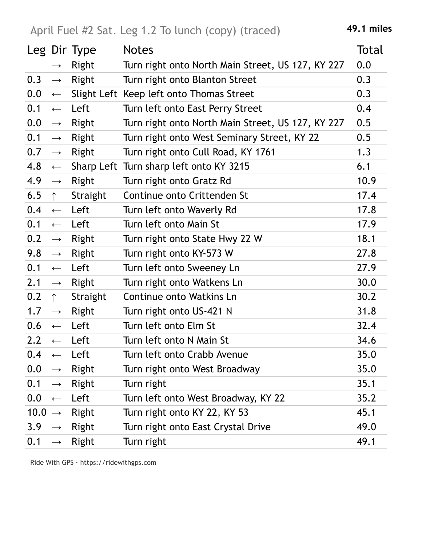## April Fuel #2 Sat. Leg 1.2 To lunch (copy) (traced) 49.1 miles

|      |                   | Leg Dir Type | <b>Notes</b>                                      | Total |
|------|-------------------|--------------|---------------------------------------------------|-------|
|      | $\longrightarrow$ | <b>Right</b> | Turn right onto North Main Street, US 127, KY 227 | 0.0   |
| 0.3  | $\longrightarrow$ | <b>Right</b> | Turn right onto Blanton Street                    | 0.3   |
| 0.0  | $\leftarrow$      |              | Slight Left Keep left onto Thomas Street          | 0.3   |
| 0.1  | $\leftarrow$      | Left         | Turn left onto East Perry Street                  | 0.4   |
| 0.0  | $\longrightarrow$ | <b>Right</b> | Turn right onto North Main Street, US 127, KY 227 | 0.5   |
| 0.1  | $\rightarrow$     | <b>Right</b> | Turn right onto West Seminary Street, KY 22       | 0.5   |
| 0.7  | $\longrightarrow$ | Right        | Turn right onto Cull Road, KY 1761                | 1.3   |
| 4.8  | $\leftarrow$      |              | Sharp Left Turn sharp left onto KY 3215           | 6.1   |
| 4.9  | $\longrightarrow$ | Right        | Turn right onto Gratz Rd                          | 10.9  |
| 6.5  | $\uparrow$        | Straight     | Continue onto Crittenden St                       | 17.4  |
| 0.4  | $\leftarrow$      | Left         | Turn left onto Waverly Rd                         | 17.8  |
| 0.1  | $\leftarrow$      | Left         | Turn left onto Main St                            | 17.9  |
| 0.2  | $\longrightarrow$ | <b>Right</b> | Turn right onto State Hwy 22 W                    | 18.1  |
| 9.8  | $\longrightarrow$ | <b>Right</b> | Turn right onto KY-573 W                          | 27.8  |
| 0.1  | $\leftarrow$      | Left         | Turn left onto Sweeney Ln                         | 27.9  |
| 2.1  | $\rightarrow$     | <b>Right</b> | Turn right onto Watkens Ln                        | 30.0  |
| 0.2  | $\uparrow$        | Straight     | Continue onto Watkins Ln                          | 30.2  |
| 1.7  | $\longrightarrow$ | <b>Right</b> | Turn right onto US-421 N                          | 31.8  |
| 0.6  | $\leftarrow$      | Left         | Turn left onto Elm St                             | 32.4  |
| 2.2  | $\leftarrow$      | Left         | Turn left onto N Main St                          | 34.6  |
| 0.4  | $\leftarrow$      | Left         | Turn left onto Crabb Avenue                       | 35.0  |
| 0.0  | $\rightarrow$     | Right        | Turn right onto West Broadway                     | 35.0  |
| 0.1  | $\rightarrow$     | Right        | Turn right                                        | 35.1  |
| 0.0  | $\leftarrow$      | Left         | Turn left onto West Broadway, KY 22               | 35.2  |
| 10.0 | $\longrightarrow$ | <b>Right</b> | Turn right onto KY 22, KY 53                      | 45.1  |
| 3.9  | $\rightarrow$     | <b>Right</b> | Turn right onto East Crystal Drive                | 49.0  |
| 0.1  | $\longrightarrow$ | Right        | Turn right                                        | 49.1  |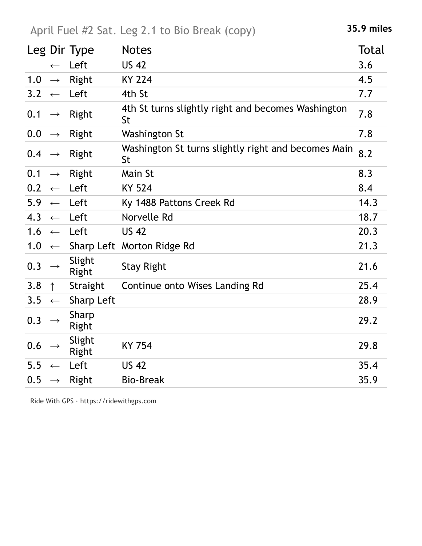April Fuel #2 Sat. Leg 2.1 to Bio Break (copy) 35.9 miles

| <b>US 42</b><br>3.6<br>Left<br>$\leftarrow$<br>4.5<br>Right<br><b>KY 224</b><br>1.0<br>$\rightarrow$<br>4th St<br>7.7<br>3.2<br>Left<br>$\leftarrow$<br>4th St turns slightly right and becomes Washington<br>7.8<br>Right<br>0.1<br>$\longrightarrow$<br>St<br>7.8<br>0.0<br>Right<br><b>Washington St</b><br>$\longrightarrow$<br>Washington St turns slightly right and becomes Main<br>8.2<br>Right<br>0.4<br>$\longrightarrow$<br>St<br>8.3<br>0.1<br>Main St<br>Right<br>$\rightarrow$<br>8.4<br>0.2<br><b>KY 524</b><br>Left<br>$\leftarrow$<br>5.9<br>14.3<br>Left<br>Ky 1488 Pattons Creek Rd<br>$\leftarrow$<br>Norvelle Rd<br>18.7<br>4.3<br>Left<br>$\leftarrow$<br>1.6<br><b>US 42</b><br>20.3<br>Left<br>$\leftarrow$<br>21.3<br>1.0<br>Sharp Left Morton Ridge Rd<br>$\leftarrow$<br>Slight<br>0.3<br><b>Stay Right</b><br>21.6<br>Right<br>3.8<br>25.4<br>Continue onto Wises Landing Rd<br>Straight<br>$\uparrow$<br>28.9<br>3.5<br>Sharp Left<br>$\leftarrow$<br>Sharp<br>0.3<br>29.2<br>$\rightarrow$<br>Right<br>Slight<br><b>KY 754</b><br>29.8<br>0.6<br>Right<br><b>US 42</b><br>35.4<br>5.5<br>Left<br>$\leftarrow$<br>0.5<br><b>Bio-Break</b><br>35.9<br>Right<br>$\rightarrow$ |  | Leg Dir Type | <b>Notes</b> | <b>Total</b> |
|----------------------------------------------------------------------------------------------------------------------------------------------------------------------------------------------------------------------------------------------------------------------------------------------------------------------------------------------------------------------------------------------------------------------------------------------------------------------------------------------------------------------------------------------------------------------------------------------------------------------------------------------------------------------------------------------------------------------------------------------------------------------------------------------------------------------------------------------------------------------------------------------------------------------------------------------------------------------------------------------------------------------------------------------------------------------------------------------------------------------------------------------------------------------------------------------------------|--|--------------|--------------|--------------|
|                                                                                                                                                                                                                                                                                                                                                                                                                                                                                                                                                                                                                                                                                                                                                                                                                                                                                                                                                                                                                                                                                                                                                                                                          |  |              |              |              |
|                                                                                                                                                                                                                                                                                                                                                                                                                                                                                                                                                                                                                                                                                                                                                                                                                                                                                                                                                                                                                                                                                                                                                                                                          |  |              |              |              |
|                                                                                                                                                                                                                                                                                                                                                                                                                                                                                                                                                                                                                                                                                                                                                                                                                                                                                                                                                                                                                                                                                                                                                                                                          |  |              |              |              |
|                                                                                                                                                                                                                                                                                                                                                                                                                                                                                                                                                                                                                                                                                                                                                                                                                                                                                                                                                                                                                                                                                                                                                                                                          |  |              |              |              |
|                                                                                                                                                                                                                                                                                                                                                                                                                                                                                                                                                                                                                                                                                                                                                                                                                                                                                                                                                                                                                                                                                                                                                                                                          |  |              |              |              |
|                                                                                                                                                                                                                                                                                                                                                                                                                                                                                                                                                                                                                                                                                                                                                                                                                                                                                                                                                                                                                                                                                                                                                                                                          |  |              |              |              |
|                                                                                                                                                                                                                                                                                                                                                                                                                                                                                                                                                                                                                                                                                                                                                                                                                                                                                                                                                                                                                                                                                                                                                                                                          |  |              |              |              |
|                                                                                                                                                                                                                                                                                                                                                                                                                                                                                                                                                                                                                                                                                                                                                                                                                                                                                                                                                                                                                                                                                                                                                                                                          |  |              |              |              |
|                                                                                                                                                                                                                                                                                                                                                                                                                                                                                                                                                                                                                                                                                                                                                                                                                                                                                                                                                                                                                                                                                                                                                                                                          |  |              |              |              |
|                                                                                                                                                                                                                                                                                                                                                                                                                                                                                                                                                                                                                                                                                                                                                                                                                                                                                                                                                                                                                                                                                                                                                                                                          |  |              |              |              |
|                                                                                                                                                                                                                                                                                                                                                                                                                                                                                                                                                                                                                                                                                                                                                                                                                                                                                                                                                                                                                                                                                                                                                                                                          |  |              |              |              |
|                                                                                                                                                                                                                                                                                                                                                                                                                                                                                                                                                                                                                                                                                                                                                                                                                                                                                                                                                                                                                                                                                                                                                                                                          |  |              |              |              |
|                                                                                                                                                                                                                                                                                                                                                                                                                                                                                                                                                                                                                                                                                                                                                                                                                                                                                                                                                                                                                                                                                                                                                                                                          |  |              |              |              |
|                                                                                                                                                                                                                                                                                                                                                                                                                                                                                                                                                                                                                                                                                                                                                                                                                                                                                                                                                                                                                                                                                                                                                                                                          |  |              |              |              |
|                                                                                                                                                                                                                                                                                                                                                                                                                                                                                                                                                                                                                                                                                                                                                                                                                                                                                                                                                                                                                                                                                                                                                                                                          |  |              |              |              |
|                                                                                                                                                                                                                                                                                                                                                                                                                                                                                                                                                                                                                                                                                                                                                                                                                                                                                                                                                                                                                                                                                                                                                                                                          |  |              |              |              |
|                                                                                                                                                                                                                                                                                                                                                                                                                                                                                                                                                                                                                                                                                                                                                                                                                                                                                                                                                                                                                                                                                                                                                                                                          |  |              |              |              |
|                                                                                                                                                                                                                                                                                                                                                                                                                                                                                                                                                                                                                                                                                                                                                                                                                                                                                                                                                                                                                                                                                                                                                                                                          |  |              |              |              |
|                                                                                                                                                                                                                                                                                                                                                                                                                                                                                                                                                                                                                                                                                                                                                                                                                                                                                                                                                                                                                                                                                                                                                                                                          |  |              |              |              |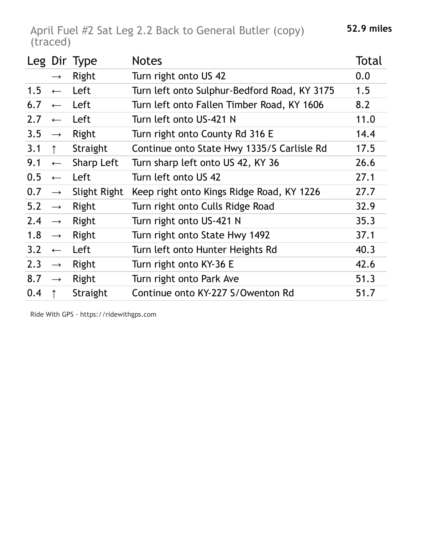April Fuel #2 Sat Leg 2.2 Back to General Butler (copy) **52.9 miles** (traced)

|     |                   | Leg Dir Type | <b>Notes</b>                                 | <b>Total</b> |
|-----|-------------------|--------------|----------------------------------------------|--------------|
|     | $\rightarrow$     | Right        | Turn right onto US 42                        | 0.0          |
| 1.5 | $\leftarrow$      | Left         | Turn left onto Sulphur-Bedford Road, KY 3175 | 1.5          |
| 6.7 | $\leftarrow$      | Left         | Turn left onto Fallen Timber Road, KY 1606   | 8.2          |
| 2.7 | $\leftarrow$      | Left         | Turn left onto US-421 N                      | 11.0         |
| 3.5 | $\rightarrow$     | Right        | Turn right onto County Rd 316 E              | 14.4         |
| 3.1 | $\uparrow$        | Straight     | Continue onto State Hwy 1335/S Carlisle Rd   | 17.5         |
| 9.1 | $\leftarrow$      | Sharp Left   | Turn sharp left onto US 42, KY 36            | 26.6         |
| 0.5 | $\leftarrow$      | Left         | Turn left onto US 42                         | 27.1         |
| 0.7 | $\rightarrow$     | Slight Right | Keep right onto Kings Ridge Road, KY 1226    | 27.7         |
| 5.2 | $\longrightarrow$ | Right        | Turn right onto Culls Ridge Road             | 32.9         |
| 2.4 | $\longrightarrow$ | Right        | Turn right onto US-421 N                     | 35.3         |
| 1.8 | $\longrightarrow$ | Right        | Turn right onto State Hwy 1492               | 37.1         |
| 3.2 | $\leftarrow$      | Left         | Turn left onto Hunter Heights Rd             | 40.3         |
| 2.3 | $\longrightarrow$ | Right        | Turn right onto KY-36 E                      | 42.6         |
| 8.7 | $\longrightarrow$ | Right        | Turn right onto Park Ave                     | 51.3         |
| 0.4 | $\uparrow$        | Straight     | Continue onto KY-227 S/Owenton Rd            | 51.7         |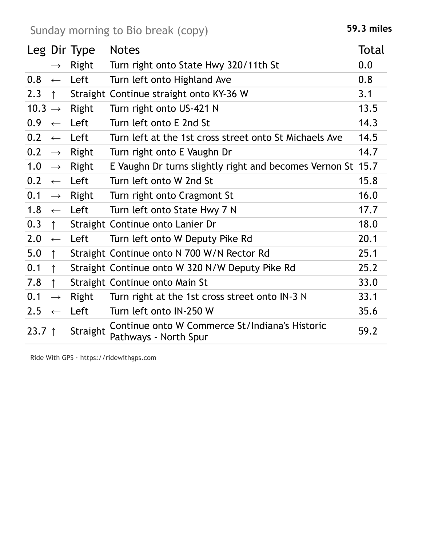## Sunday morning to Bio break (copy) **59.3 miles**

|                    |                   | Leg Dir Type | <b>Notes</b>                                                            | <b>Total</b> |
|--------------------|-------------------|--------------|-------------------------------------------------------------------------|--------------|
|                    | $\longrightarrow$ | Right        | Turn right onto State Hwy 320/11th St                                   | 0.0          |
| 0.8                | $\leftarrow$      | Left         | Turn left onto Highland Ave                                             | 0.8          |
| 2.3                | $\uparrow$        |              | Straight Continue straight onto KY-36 W                                 | 3.1          |
| 10.3 $\rightarrow$ |                   | Right        | Turn right onto US-421 N                                                | 13.5         |
| 0.9                | $\leftarrow$      | Left         | Turn left onto E 2nd St                                                 | 14.3         |
| 0.2                | $\leftarrow$      | Left         | Turn left at the 1st cross street onto St Michaels Ave                  | 14.5         |
| 0.2                | $\longrightarrow$ | <b>Right</b> | Turn right onto E Vaughn Dr                                             | 14.7         |
| 1.0                | $\longrightarrow$ | <b>Right</b> | E Vaughn Dr turns slightly right and becomes Vernon St 15.7             |              |
| 0.2                | $\leftarrow$      | Left         | Turn left onto W 2nd St                                                 | 15.8         |
| 0.1                | $\longrightarrow$ | <b>Right</b> | Turn right onto Cragmont St                                             | 16.0         |
| 1.8                | $\leftarrow$      | Left         | Turn left onto State Hwy 7 N                                            | 17.7         |
| 0.3                | $\uparrow$        |              | Straight Continue onto Lanier Dr                                        | 18.0         |
| 2.0                | $\leftarrow$      | Left         | Turn left onto W Deputy Pike Rd                                         | 20.1         |
| 5.0                | $\uparrow$        |              | Straight Continue onto N 700 W/N Rector Rd                              | 25.1         |
| 0.1                |                   |              | Straight Continue onto W 320 N/W Deputy Pike Rd                         | 25.2         |
| 7.8                | $\uparrow$        |              | Straight Continue onto Main St                                          | 33.0         |
| 0.1                | $\rightarrow$     | <b>Right</b> | Turn right at the 1st cross street onto IN-3 N                          | 33.1         |
| 2.5                | $\leftarrow$      | Left         | Turn left onto IN-250 W                                                 | 35.6         |
| 23.7 $\uparrow$    |                   | Straight     | Continue onto W Commerce St/Indiana's Historic<br>Pathways - North Spur | 59.2         |